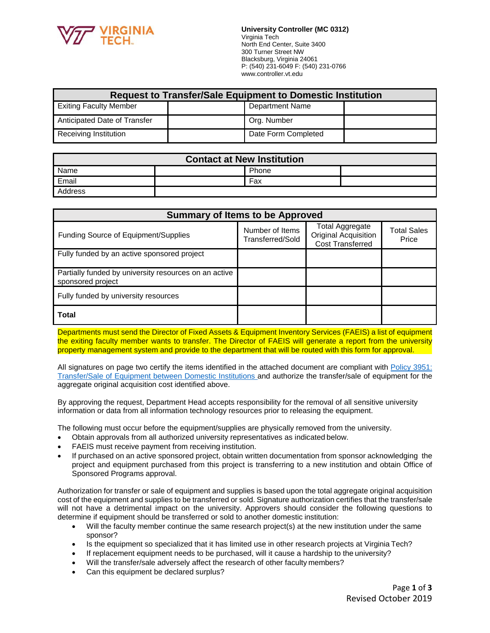

**University Controller (MC 0312)** Virginia Tech North End Center, Suite 3400 300 Turner Street NW Blacksburg, Virginia 24061 P: (540) 231-6049 F: (540) 231-0766 [www.controller.vt.edu](http://www.controller.vt.edu/)

| <b>Request to Transfer/Sale Equipment to Domestic Institution</b> |  |                        |  |
|-------------------------------------------------------------------|--|------------------------|--|
| <b>Exiting Faculty Member</b>                                     |  | <b>Department Name</b> |  |
| Anticipated Date of Transfer                                      |  | Org. Number            |  |
| Receiving Institution                                             |  | Date Form Completed    |  |

| <b>Contact at New Institution</b> |       |  |  |
|-----------------------------------|-------|--|--|
| Name                              | Phone |  |  |
| Email                             | Fax   |  |  |
| Address                           |       |  |  |

| <b>Summary of Items to be Approved</b>                                     |                                     |                                                                           |                             |
|----------------------------------------------------------------------------|-------------------------------------|---------------------------------------------------------------------------|-----------------------------|
| Funding Source of Equipment/Supplies                                       | Number of Items<br>Transferred/Sold | Total Aggregate<br><b>Original Acquisition</b><br><b>Cost Transferred</b> | <b>Total Sales</b><br>Price |
| Fully funded by an active sponsored project                                |                                     |                                                                           |                             |
| Partially funded by university resources on an active<br>sponsored project |                                     |                                                                           |                             |
| Fully funded by university resources                                       |                                     |                                                                           |                             |
| <b>Total</b>                                                               |                                     |                                                                           |                             |

Departments must send the Director of Fixed Assets & Equipment Inventory Services (FAEIS) a list of equipment the exiting faculty member wants to transfer. The Director of FAEIS will generate a report from the university property management system and provide to the department that will be routed with this form for approval.

All signatures on page two certify the items identified in the attached document are compliant with [Policy 3951:](http://www.policies.vt.edu/index.php) [Transfer/Sale of Equipment between Domestic Institutions a](http://www.policies.vt.edu/index.php)nd authorize the transfer/sale of equipment for the aggregate original acquisition cost identified above.

By approving the request, Department Head accepts responsibility for the removal of all sensitive university information or data from all information technology resources prior to releasing the equipment.

The following must occur before the equipment/supplies are physically removed from the university.

- Obtain approvals from all authorized university representatives as indicated below.
- FAEIS must receive payment from receiving institution.
- If purchased on an active sponsored project, obtain written documentation from sponsor acknowledging the project and equipment purchased from this project is transferring to a new institution and obtain Office of Sponsored Programs approval.

Authorization for transfer or sale of equipment and supplies is based upon the total aggregate original acquisition cost of the equipment and supplies to be transferred or sold. Signature authorization certifies that the transfer/sale will not have a detrimental impact on the university. Approvers should consider the following questions to determine if equipment should be transferred or sold to another domestic institution:

- Will the faculty member continue the same research project(s) at the new institution under the same sponsor?
- Is the equipment so specialized that it has limited use in other research projects at Virginia Tech?
- If replacement equipment needs to be purchased, will it cause a hardship to the university?
- Will the transfer/sale adversely affect the research of other faculty members?
- Can this equipment be declared surplus?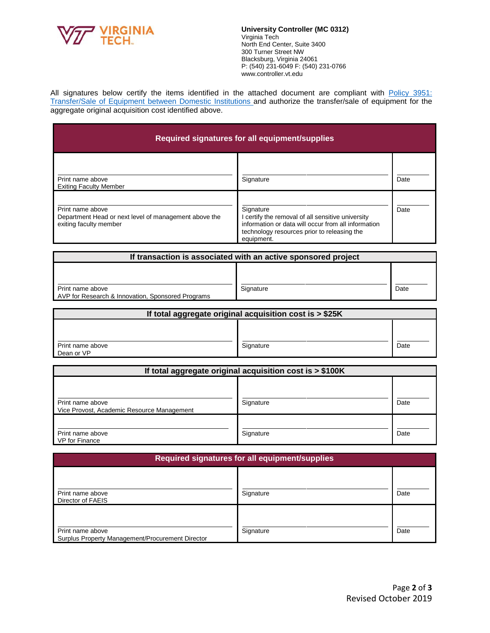

**University Controller (MC 0312)** Virginia Tech North End Center, Suite 3400 300 Turner Street NW Blacksburg, Virginia 24061 P: (540) 231-6049 F: (540) 231-0766 [www.controller.vt.edu](http://www.controller.vt.edu/)

All signatures below certify the items identified in the attached document are compliant with [Policy 3951:](http://www.policies.vt.edu/index.php) [Transfer/Sale of Equipment between Domestic Institutions a](http://www.policies.vt.edu/index.php)nd authorize the transfer/sale of equipment for the aggregate original acquisition cost identified above.

| Required signatures for all equipment/supplies                                                      |                                                                                                                                                                                    |      |
|-----------------------------------------------------------------------------------------------------|------------------------------------------------------------------------------------------------------------------------------------------------------------------------------------|------|
| Print name above<br><b>Exiting Faculty Member</b>                                                   | Signature                                                                                                                                                                          | Date |
| Print name above<br>Department Head or next level of management above the<br>exiting faculty member | Signature<br>I certify the removal of all sensitive university<br>information or data will occur from all information<br>technology resources prior to releasing the<br>equipment. | Date |

| If transaction is associated with an active sponsored project         |           |      |
|-----------------------------------------------------------------------|-----------|------|
|                                                                       |           |      |
| Print name above<br>AVP for Research & Innovation, Sponsored Programs | Signature | Date |

| If total aggregate original acquisition cost is > \$25K |           |      |  |
|---------------------------------------------------------|-----------|------|--|
|                                                         |           |      |  |
| Print name above<br>Dean or VP                          | Signature | Date |  |

| If total aggregate original acquisition cost is > \$100K       |           |      |
|----------------------------------------------------------------|-----------|------|
| Print name above<br>Vice Provost, Academic Resource Management | Signature | Date |
| Print name above<br>VP for Finance                             | Signature | Date |

| Required signatures for all equipment/supplies                       |           |      |
|----------------------------------------------------------------------|-----------|------|
| Print name above<br>Director of FAEIS                                | Signature | Date |
| Print name above<br>Surplus Property Management/Procurement Director | Signature | Date |